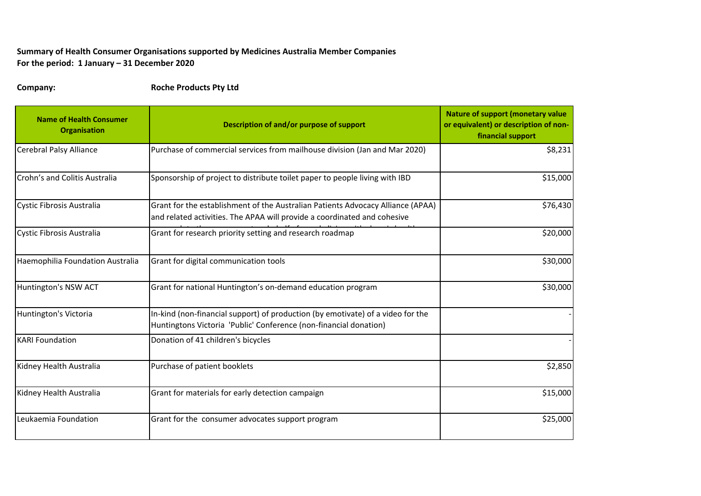## **Summary of Health Consumer Organisations supported by Medicines Australia Member Companies For the period: 1 January – 31 December 2020**

**Company: Roche Products Pty Ltd**

| <b>Name of Health Consumer</b><br><b>Organisation</b> | Description of and/or purpose of support                                                                                                                    | <b>Nature of support (monetary value</b><br>or equivalent) or description of non-<br>financial support |
|-------------------------------------------------------|-------------------------------------------------------------------------------------------------------------------------------------------------------------|--------------------------------------------------------------------------------------------------------|
| <b>Cerebral Palsy Alliance</b>                        | Purchase of commercial services from mailhouse division (Jan and Mar 2020)                                                                                  | \$8,231                                                                                                |
| Crohn's and Colitis Australia                         | Sponsorship of project to distribute toilet paper to people living with IBD                                                                                 | \$15,000                                                                                               |
| Cystic Fibrosis Australia                             | Grant for the establishment of the Australian Patients Advocacy Alliance (APAA)<br>and related activities. The APAA will provide a coordinated and cohesive | \$76,430                                                                                               |
| Cystic Fibrosis Australia                             | Grant for research priority setting and research roadmap                                                                                                    | \$20,000                                                                                               |
| Haemophilia Foundation Australia                      | Grant for digital communication tools                                                                                                                       | \$30,000                                                                                               |
| Huntington's NSW ACT                                  | Grant for national Huntington's on-demand education program                                                                                                 | \$30,000                                                                                               |
| Huntington's Victoria                                 | In-kind (non-financial support) of production (by emotivate) of a video for the<br>Huntingtons Victoria 'Public' Conference (non-financial donation)        |                                                                                                        |
| <b>KARI Foundation</b>                                | Donation of 41 children's bicycles                                                                                                                          |                                                                                                        |
| Kidney Health Australia                               | Purchase of patient booklets                                                                                                                                | \$2,850                                                                                                |
| Kidney Health Australia                               | Grant for materials for early detection campaign                                                                                                            | \$15,000                                                                                               |
| Leukaemia Foundation                                  | Grant for the consumer advocates support program                                                                                                            | \$25,000                                                                                               |